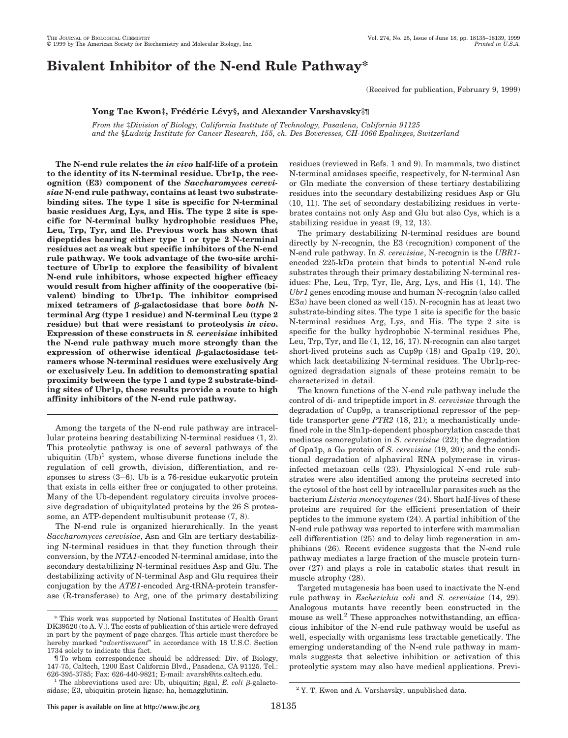# **Bivalent Inhibitor of the N-end Rule Pathway\***

(Received for publication, February 9, 1999)

## **Yong Tae Kwon‡, Fre´de´ric Le´vy§, and Alexander Varshavsky‡¶**

*From the* ‡*Division of Biology, California Institute of Technology, Pasadena, California 91125 and the* §*Ludwig Institute for Cancer Research, 155, ch. Des Boveresses, CH-1066 Epalinges, Switzerland*

**The N-end rule relates the** *in vivo* **half-life of a protein to the identity of its N-terminal residue. Ubr1p, the recognition (E3) component of the** *Saccharomyces cerevisiae* **N-end rule pathway, contains at least two substratebinding sites. The type 1 site is specific for N-terminal basic residues Arg, Lys, and His. The type 2 site is specific for N-terminal bulky hydrophobic residues Phe, Leu, Trp, Tyr, and Ile. Previous work has shown that dipeptides bearing either type 1 or type 2 N-terminal residues act as weak but specific inhibitors of the N-end rule pathway. We took advantage of the two-site architecture of Ubr1p to explore the feasibility of bivalent N-end rule inhibitors, whose expected higher efficacy would result from higher affinity of the cooperative (bivalent) binding to Ubr1p. The inhibitor comprised** mixed tetramers of β-galactosidase that bore *both* N**terminal Arg (type 1 residue) and N-terminal Leu (type 2 residue) but that were resistant to proteolysis** *in vivo***. Expression of these constructs in** *S. cerevisiae* **inhibited the N-end rule pathway much more strongly than the**  $\epsilon$ **expression** of otherwise identical  $\beta$ -galactosidase tet**ramers whose N-terminal residues were exclusively Arg or exclusively Leu. In addition to demonstrating spatial proximity between the type 1 and type 2 substrate-binding sites of Ubr1p, these results provide a route to high affinity inhibitors of the N-end rule pathway.**

Among the targets of the N-end rule pathway are intracellular proteins bearing destabilizing N-terminal residues (1, 2). This proteolytic pathway is one of several pathways of the ubiquitin  $(Ub)^1$  system, whose diverse functions include the regulation of cell growth, division, differentiation, and responses to stress (3–6). Ub is a 76-residue eukaryotic protein that exists in cells either free or conjugated to other proteins. Many of the Ub-dependent regulatory circuits involve processive degradation of ubiquitylated proteins by the 26 S proteasome, an ATP-dependent multisubunit protease (7, 8).

The N-end rule is organized hierarchically. In the yeast *Saccharomyces cerevisiae*, Asn and Gln are tertiary destabilizing N-terminal residues in that they function through their conversion, by the *NTA1*-encoded N-terminal amidase, into the secondary destabilizing N-terminal residues Asp and Glu. The destabilizing activity of N-terminal Asp and Glu requires their conjugation by the *ATE1*-encoded Arg-tRNA-protein transferase (R-transferase) to Arg, one of the primary destabilizing residues (reviewed in Refs. 1 and 9). In mammals, two distinct N-terminal amidases specific, respectively, for N-terminal Asn or Gln mediate the conversion of these tertiary destabilizing residues into the secondary destabilizing residues Asp or Glu (10, 11). The set of secondary destabilizing residues in vertebrates contains not only Asp and Glu but also Cys, which is a stabilizing residue in yeast (9, 12, 13).

The primary destabilizing N-terminal residues are bound directly by N-recognin, the E3 (recognition) component of the N-end rule pathway. In *S. cerevisiae*, N-recognin is the *UBR1* encoded 225-kDa protein that binds to potential N-end rule substrates through their primary destabilizing N-terminal residues: Phe, Leu, Trp, Tyr, Ile, Arg, Lys, and His (1, 14). The *Ubr1* genes encoding mouse and human N-recognin (also called  $E3\alpha$ ) have been cloned as well (15). N-recognin has at least two substrate-binding sites. The type 1 site is specific for the basic N-terminal residues Arg, Lys, and His. The type 2 site is specific for the bulky hydrophobic N-terminal residues Phe, Leu, Trp, Tyr, and Ile (1, 12, 16, 17). N-recognin can also target short-lived proteins such as Cup9p (18) and Gpa1p (19, 20), which lack destabilizing N-terminal residues. The Ubr1p-recognized degradation signals of these proteins remain to be characterized in detail.

The known functions of the N-end rule pathway include the control of di- and tripeptide import in *S. cerevisiae* through the degradation of Cup9p, a transcriptional repressor of the peptide transporter gene *PTR2* (18, 21); a mechanistically undefined role in the Sln1p-dependent phosphorylation cascade that mediates osmoregulation in *S. cerevisiae* (22); the degradation of Gpa1p, a G<sup>a</sup> protein of *S. cerevisiae* (19, 20); and the conditional degradation of alphaviral RNA polymerase in virusinfected metazoan cells (23). Physiological N-end rule substrates were also identified among the proteins secreted into the cytosol of the host cell by intracellular parasites such as the bacterium *Listeria monocytogenes* (24). Short half-lives of these proteins are required for the efficient presentation of their peptides to the immune system (24). A partial inhibition of the N-end rule pathway was reported to interfere with mammalian cell differentiation (25) and to delay limb regeneration in amphibians (26). Recent evidence suggests that the N-end rule pathway mediates a large fraction of the muscle protein turnover (27) and plays a role in catabolic states that result in muscle atrophy (28).

Targeted mutagenesis has been used to inactivate the N-end rule pathway in *Escherichia coli* and *S. cerevisiae* (14, 29). Analogous mutants have recently been constructed in the mouse as well. $<sup>2</sup>$  These approaches notwithstanding, an effica-</sup> cious inhibitor of the N-end rule pathway would be useful as well, especially with organisms less tractable genetically. The emerging understanding of the N-end rule pathway in mammals suggests that selective inhibition or activation of this proteolytic system may also have medical applications. Previ-

<sup>\*</sup> This work was supported by National Institutes of Health Grant DK39520 (to A. V.). The costs of publication of this article were defrayed in part by the payment of page charges. This article must therefore be hereby marked "*advertisement*" in accordance with 18 U.S.C. Section 1734 solely to indicate this fact.

<sup>¶</sup> To whom correspondence should be addressed: Div. of Biology, 147-75, Caltech, 1200 East California Blvd., Pasadena, CA 91125. Tel.:

<sup>&</sup>lt;sup>1</sup> The abbreviations used are: Ub, ubiquitin;  $\beta$ gal, *E. coli*  $\beta$ -galactosidase; E3, ubiquitin-protein ligase; ha, hemagglutinin.  $2 Y. T.$  Kwon and A. Varshavsky, unpublished data.

**This paper is available on line at http://www.jbc.org** 18135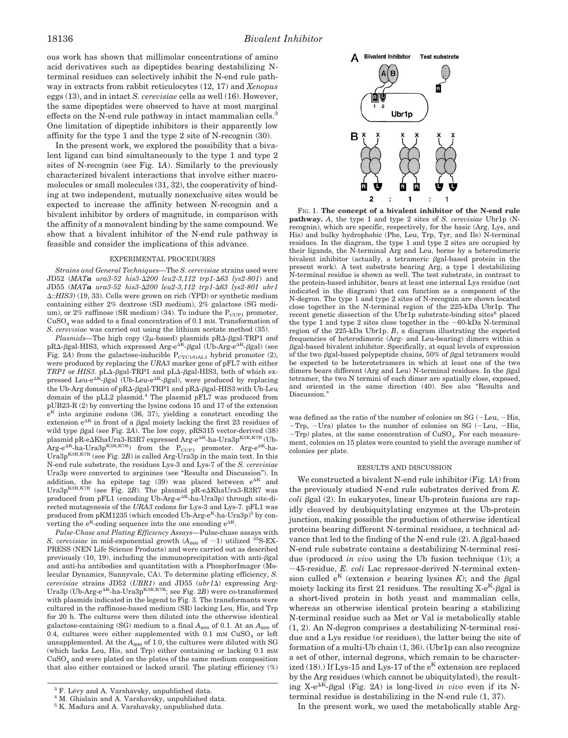ous work has shown that millimolar concentrations of amino acid derivatives such as dipeptides bearing destabilizing Nterminal residues can selectively inhibit the N-end rule pathway in extracts from rabbit reticulocytes (12, 17) and *Xenopus* eggs (13), and in intact *S. cerevisiae* cells as well (16). However, the same dipeptides were observed to have at most marginal effects on the N-end rule pathway in intact mammalian cells.<sup>3</sup> One limitation of dipeptide inhibitors is their apparently low affinity for the type 1 and the type 2 site of N-recognin (30).

In the present work, we explored the possibility that a bivalent ligand can bind simultaneously to the type 1 and type 2 sites of N-recognin (see Fig. 1*A*). Similarly to the previously characterized bivalent interactions that involve either macromolecules or small molecules (31, 32), the cooperativity of binding at two independent, mutually nonexclusive sites would be expected to increase the affinity between N-recognin and a bivalent inhibitor by orders of magnitude, in comparison with the affinity of a monovalent binding by the same compound. We show that a bivalent inhibitor of the N-end rule pathway is feasible and consider the implications of this advance.

#### EXPERIMENTAL PROCEDURES

*Strains and General Techniques—*The *S. cerevisiae* strains used were JD52 (*MATa ura3-52 his3-*D*200 leu2-3,112 trp1-*D*63 lys2-801*) and JD55 (*MATa ura3-52 his3-*D*200 leu2-3,112 trp1-*D*63 lys2-801 ubr1* D*::HIS3*) (19, 33). Cells were grown on rich (YPD) or synthetic medium containing either 2% dextrose (SD medium), 2% galactose (SG medium), or 2% raffinose (SR medium) (34). To induce the  $P_{\text{CUP1}}$  promoter,  $CuSO<sub>4</sub>$  was added to a final concentration of 0.1 mM. Transformation of *S. cerevisiae* was carried out using the lithium acetate method (35).

*Plasmids*—The high copy ( $2\mu$ -based) plasmids pR $\Delta$ - $\beta$ gal-TRP1 and  $pR\Delta$ - $\beta$ gal-HIS3, which expressed Arg-e<sup> $\Delta K$ </sup>- $\beta$ gal (Ub-Arg-e<sup> $\Delta K$ </sup>- $\beta$ gal) (see Fig. 2A) from the galactose-inducible  $P_{CYC1/GAL1}$  hybrid promoter (2), were produced by replacing the *URA3* marker gene of pFL7 with either  $TRP1$  or  $HIS3$ . pL $\Delta$ - $\beta$ gal-TRP1 and pL $\Delta$ - $\beta$ gal-HIS3, both of which expressed Leu-e<sup> $\Delta K$ </sup>- $\beta$ gal (Ub-Leu-e<sup> $\Delta K$ </sup>- $\beta$ gal), were produced by replacing the Ub-Arg domain of pR $\Delta$ - $\beta$ gal-TRP1 and pR $\Delta$ - $\beta$ gal-HIS3 with Ub-Leu domain of the pLL2 plasmid.<sup>4</sup> The plasmid pFL7 was produced from pUB23-R (2) by converting the lysine codons 15 and 17 of the extension  $e^{K}$  into arginine codons (36, 37), yielding a construct encoding the extension $\mathrm{e}^{\Delta K}$  in front of a  $\beta\mathrm{gal}$  moiety lacking the first 23 residues of wild type  $\beta$ gal (see Fig. 2A). The low copy, pRS315 vector-derived (38) plasmid pR-e $\Delta$ KhaUra3-R3R7 expressed Arg-e $^{\Delta K}$ -ha-Ura3p $^{\mathrm{K3R,K7R}}$  (Ub- $\text{Arg-e}^{\Delta K}$ -ha-Ura3p<sup>K3R,K7R</sup>) from the P<sub>CUP1</sub> promoter. Arg-e<sup> $\Delta K$ </sup>-ha-Ura3p<sup>K3R,K7R</sup> (see Fig. 2B) is called Arg-Ura3p in the main text. In this N-end rule substrate, the residues Lys-3 and Lys-7 of the *S. cerevisiae* Ura3p were converted to arginines (see "Results and Discussion"). In addition, the ha epitope tag (39) was placed between  $e^{\Delta K}$  and Ura $3p^{K3R,K7R}$  (see Fig. 2B). The plasmid  $pR$ -e $\Delta$ KhaUra3-R3R7 was produced from pFL1 (encoding Ub-Arg-e^dK-ha-Ura3p) through site-directed mutagenesis of the *URA3* codons for Lys-3 and Lys-7. pFL1 was produced from pKM1235 (which encoded Ub-Arg-e<sup>K</sup>-ha-Ura3p)<sup>5</sup> by converting the  $e^{K}$ -coding sequence into the one encoding  $e^{\Delta K}$ .

*Pulse-Chase and Plating Efficiency Assays—*Pulse-chase assays with *S. cerevisiae* in mid-exponential growth  $(A_{600}$  of  $\sim$ 1) utilized <sup>35</sup>S-EX-PRESS (NEN Life Science Products) and were carried out as described previously  $(10, 19)$ , including the immunoprecipitation with anti- $\beta$ gal and anti-ha antibodies and quantitation with a PhosphorImager (Molecular Dynamics, Sunnyvale, CA). To determine plating efficiency, *S. cerevisiae* strains JD52 (*UBR1*) and JD55 (*ubr1*D) expressing Arg-Ura3p (Ub-Arg-e<sup>AK</sup>-ha-Ura3p<sup>K3R,K7R</sup>; see Fig. 2*B*) were co-transformed with plasmids indicated in the legend to Fig. 3. The transformants were cultured in the raffinose-based medium (SR) lacking Leu, His, and Trp for 20 h. The cultures were then diluted into the otherwise identical galactose-containing (SG) medium to a final  $A_{600}$  of 0.1. At an  $A_{600}$  of 0.4, cultures were either supplemented with 0.1 mm  $CuSO<sub>4</sub>$  or left unsupplemented. At the  $A_{600}$  of 1.0, the cultures were diluted with SG (which lacks Leu, His, and Trp) either containing or lacking 0.1 mM  $CuSO<sub>4</sub>$  and were plated on the plates of the same medium composition that also either contained or lacked uracil. The plating efficiency (%)



FIG. 1. **The concept of a bivalent inhibitor of the N-end rule pathway.** *A*, the type 1 and type 2 sites of *S. cerevisiae* Ubr1p (Nrecognin), which are specific, respectively, for the basic (Arg, Lys, and His) and bulky hydrophobic (Phe, Leu, Trp, Tyr, and Ile) N-terminal residues. In the diagram, the type 1 and type 2 sites are occupied by their ligands, the N-terminal Arg and Leu, borne by a heterodimeric bivalent inhibitor (actually, a tetrameric  $\beta$ gal-based protein in the present work). A test substrate bearing Arg, a type 1 destabilizing N-terminal residue is shown as well. The test substrate, in contrast to the protein-based inhibitor, bears at least one internal Lys residue (not indicated in the diagram) that can function as a component of the N-degron. The type 1 and type 2 sites of N-recognin are shown located close together in the N-terminal region of the 225-kDa Ubr1p. The recent genetic dissection of the Ubr1p substrate-binding sites $6$  placed the type 1 and type 2 sites close together in the  ${\sim}60\text{-kDa}$  N-terminal region of the 225-kDa Ubr1p. *B*, a diagram illustrating the expected frequencies of heterodimeric (Arg- and Leu-bearing) dimers within a  $\beta$ gal-based bivalent inhibitor. Specifically, at equal levels of expression of the two  $\beta$ gal-based polypeptide chains, 50% of  $\beta$ gal tetramers would be expected to be heterotetramers in which at least one of the two dimers bears different (Arg and Leu) N-terminal residues. In the  $\beta$ gal tetramer, the two N termini of each dimer are spatially close, exposed, and oriented in the same direction (40). See also "Results and Discussion."

was defined as the ratio of the number of colonies on  $SG$  (-Leu, -His,  $-Trp$ ,  $-Ura$ ) plates to the number of colonies on SG ( $-Leu$ ,  $-His$ ,  $-Trp$ ) plates, at the same concentration of  $CuSO<sub>4</sub>$ . For each measurement, colonies on 15 plates were counted to yield the average number of colonies per plate.

#### RESULTS AND DISCUSSION

We constructed a bivalent N-end rule inhibitor (Fig. 1*A*) from the previously studied N-end rule substrates derived from *E. coli* bgal (2). In eukaryotes, linear Ub-protein fusions are rapidly cleaved by deubiquitylating enzymes at the Ub-protein junction, making possible the production of otherwise identical proteins bearing different N-terminal residues, a technical advance that led to the finding of the N-end rule  $(2)$ . A  $\beta$ gal-based N-end rule substrate contains a destabilizing N-terminal residue (produced *in vivo* using the Ub fusion technique (1)); a  $\sim$ 45-residue, *E. coli* Lac repressor-derived N-terminal extension called  $e^{K}$  (extension *e* bearing lysines *K*); and the  $\beta$ gal moiety lacking its first 21 residues. The resulting  $X-e^{K}$ - $\beta$ gal is a short-lived protein in both yeast and mammalian cells, whereas an otherwise identical protein bearing a stabilizing N-terminal residue such as Met or Val is metabolically stable (1, 2). An N-degron comprises a destabilizing N-terminal residue and a Lys residue (or residues), the latter being the site of formation of a multi-Ub chain (1, 36). (Ubr1p can also recognize a set of other, internal degrons, which remain to be characterized (18).) If Lys-15 and Lys-17 of the  $e^{K}$  extension are replaced by the Arg residues (which cannot be ubiquitylated), the resulting X-e<sup> $\Delta K$ </sup>-Bgal (Fig. 2A) is long-lived *in vivo* even if its Nterminal residue is destabilizing in the N-end rule (1, 37).

In the present work, we used the metabolically stable Arg-

 $3$  F. Lévy and A. Varshavsky, unpublished data.  $4$  M. Ghislain and A. Varshavsky, unpublished data.

<sup>&</sup>lt;sup>5</sup> K. Madura and A. Varshavsky, unpublished data.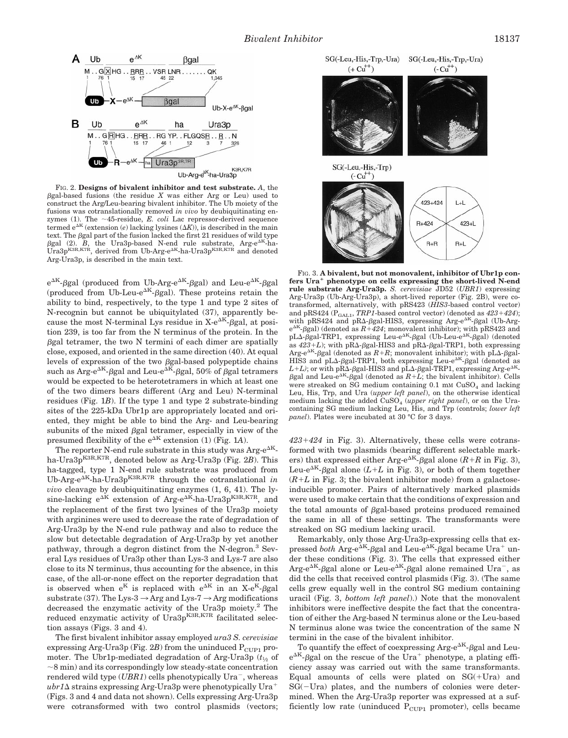

FIG. 2. **Designs of bivalent inhibitor and test substrate.** *A*, the  $\beta$ gal-based fusions (the residue  $X$  was either Arg or Leu) used to construct the Arg/Leu-bearing bivalent inhibitor. The Ub moiety of the fusions was cotranslationally removed *in vivo* by deubiquitinating enzymes (1). The  $\sim$ 45-residue, *E. coli* Lac repressor-derived sequence termed  $e^{\Delta K}$  (extension (*e*) lacking lysines ( $\Delta K$ )), is described in the main text. The  $\beta$ gal part of the fusion lacked the first 21 residues of wild type  $\beta$ gal (2). *B*, the Ura3p-based N-end rule substrate, Arg-e<sup> $\Delta K$ </sup>-ha-Ura3p<sup>K3R,K7R</sup>, derived from Ub-Arg-e<sup> $\Delta K$ </sup>-ha-Ura3p<sup>K3R,K7R</sup> and denoted Arg-Ura3p, is described in the main text.

 $e^{\Delta K}$ - $\beta$ gal (produced from Ub-Arg- $e^{\Delta K}$ - $\beta$ gal) and Leu- $e^{\Delta K}$ - $\beta$ gal (produced from Ub-Leu-e<sup> $\Delta K$ </sup>- $\beta$ gal). These proteins retain the ability to bind, respectively, to the type 1 and type 2 sites of N-recognin but cannot be ubiquitylated (37), apparently because the most N-terminal Lys residue in  $X-e^{AK}$ - $\beta$ gal, at position 239, is too far from the N terminus of the protein. In the  $\beta$ gal tetramer, the two N termini of each dimer are spatially close, exposed, and oriented in the same direction (40). At equal levels of expression of the two  $\beta$ gal-based polypeptide chains such as Arg-e<sup> $\Delta K$ </sup>- $\beta$ gal and Leu-e $\Delta K$ - $\beta$ gal, 50% of  $\beta$ gal tetramers would be expected to be heterotetramers in which at least one of the two dimers bears different (Arg and Leu) N-terminal residues (Fig. 1*B*). If the type 1 and type 2 substrate-binding sites of the 225-kDa Ubr1p are appropriately located and oriented, they might be able to bind the Arg- and Leu-bearing subunits of the mixed  $\beta$ gal tetramer, especially in view of the presumed flexibility of the  $e^{\Delta K}$  extension (1) (Fig. 1A).

The reporter N-end rule substrate in this study was  $\text{Arg-e}^{\Delta K}$ ha-Ura3p<sup>K3R,K7R</sup>, denoted below as Arg-Ura3p (Fig. 2*B*). This ha-tagged, type 1 N-end rule substrate was produced from  $Ub-Arg-e^{AK}-ha-Ura3p^{K3R,K7R}$  through the cotranslational *in vivo* cleavage by deubiquitinating enzymes (1, 6, 41). The lysine-lacking  $e^{\Delta K}$  extension of Arg- $e^{\Delta K}$ -ha-Ura3p<sup>K3R,K7R</sup>, and the replacement of the first two lysines of the Ura3p moiety with arginines were used to decrease the rate of degradation of Arg-Ura3p by the N-end rule pathway and also to reduce the slow but detectable degradation of Arg-Ura3p by yet another pathway, through a degron distinct from the N-degron.<sup>3</sup> Several Lys residues of Ura3p other than Lys-3 and Lys-7 are also close to its N terminus, thus accounting for the absence, in this case, of the all-or-none effect on the reporter degradation that is observed when  $e^{K}$  is replaced with  $e^{AK}$  in an X- $e^{K}$ - $\beta$ gal substrate (37). The Lys-3  $\rightarrow$  Arg and Lys-7  $\rightarrow$  Arg modifications decreased the enzymatic activity of the Ura3p moiety.<sup>2</sup> The reduced enzymatic activity of Ura $3p^{K3R,K7R}$  facilitated selection assays (Figs. 3 and 4).

The first bivalent inhibitor assay employed *ura3 S. cerevisiae* expressing Arg-Ura3p (Fig.  $2B$ ) from the uninduced  $P_{\text{CUP1}}$  promoter. The Ubr1p-mediated degradation of Arg-Ura3p  $(t_{1/2}$  of  $\sim$ 8 min) and its correspondingly low steady-state concentration rendered wild type  $(UBR1)$  cells phenotypically  $Ura^{-}$ , whereas  $ubr1\Delta$  strains expressing Arg-Ura3p were phenotypically Ura<sup>+</sup> (Figs. 3 and 4 and data not shown). Cells expressing Arg-Ura3p were cotransformed with two control plasmids (vectors:



FIG. 3. **A bivalent, but not monovalent, inhibitor of Ubr1p confers Ura**<sup>1</sup> **phenotype on cells expressing the short-lived N-end rule substrate Arg-Ura3p.** *S. cerevisiae* JD52 (*UBR1*) expressing Arg-Ura3p (Ub-Arg-Ura3p), a short-lived reporter (Fig. 2B), were cotransformed, alternatively, with pRS423 (*HIS3*-based control vector) and pRS424 ( $P_{GAL1}$ , *TRP1*-based control vector) (denoted as  $423+424$ ); with pRS424 and pR $\Delta$ - $\beta$ gal-HIS3, expressing Arg-e<sup> $\Delta K$ </sup>- $\beta$ gal (Ub-Arg $e^{AK}$ - $\beta$ gal) (denoted as  $R+424$ ; monovalent inhibitor); with pRS423 and pL $\Delta$ - $\beta$ gal-TRP1, expressing Leu-e<sup> $\Delta K$ </sup>- $\beta$ gal (Ub-Leu-e $\Delta K$ - $\beta$ gal) (denoted as  $423+L$ ); with pR $\Delta$ - $\beta$ gal-HIS3 and pR $\Delta$ - $\beta$ gal-TRP1, both expressing Arg-e<sup> $AK$ </sup>- $\beta$ gal (denoted as  $R+R$ ; monovalent inhibitor); with pL $\Delta$ - $\beta$ gal-HIS3 and pL $\Delta$ - $\beta$ gal-TRP1, both expressing Leu-e $\Delta K$ - $\beta$ gal (denoted as  $L+L$ ); or with pR $\Delta$ - $\beta$ gal-HIS3 and pL $\Delta$ - $\beta$ gal-TRP1, expressing Arg-e<sup> $\Delta K$ </sup>- $\beta$ gal and Leu-e<sup> $\Delta K$ </sup>- $\beta$ gal (denoted as  $R+L$ ; the bivalent inhibitor). Cells were streaked on SG medium containing  $0.1 \text{ mm CuSO}_4$  and lacking Leu, His, Trp, and Ura (*upper left panel*), on the otherwise identical medium lacking the added CuSO<sub>4</sub> (*upper right panel*), or on the Uracontaining SG medium lacking Leu, His, and Trp (controls; *lower left panel*). Plates were incubated at 30 °C for 3 days.

 $423+424$  in Fig. 3). Alternatively, these cells were cotransformed with two plasmids (bearing different selectable markers) that expressed either Arg-e<sup> $\Delta K$ </sup>- $\beta$ gal alone (*R*+*R* in Fig. 3), Leu-e<sup> $\Delta K$ </sup>- $\beta$ gal alone (*L*+*L* in Fig. 3), or both of them together  $(R+L)$  in Fig. 3; the bivalent inhibitor mode) from a galactoseinducible promoter. Pairs of alternatively marked plasmids were used to make certain that the conditions of expression and the total amounts of bgal-based proteins produced remained the same in all of these settings. The transformants were streaked on SG medium lacking uracil.

Remarkably, only those Arg-Ura3p-expressing cells that expressed *both* Arg-e<sup> $\Delta K$ </sup>- $\beta$ gal and Leu-e<sup> $\Delta K$ </sup>- $\beta$ gal became Ura<sup>+</sup> under these conditions (Fig. 3). The cells that expressed either  $\text{Arg-e}^{\Delta K}$ - $\beta$ gal alone or Leu-e $\Delta K$ - $\beta$ gal alone remained Ura<sup>-</sup>, as did the cells that received control plasmids (Fig. 3). (The same cells grew equally well in the control SG medium containing uracil (Fig. 3, *bottom left panel*).) Note that the monovalent inhibitors were ineffective despite the fact that the concentration of either the Arg-based N terminus alone or the Leu-based N terminus alone was twice the concentration of the same N termini in the case of the bivalent inhibitor.

To quantify the effect of coexpressing  $Arg-e^{AK}$ - $\beta$ gal and Leu $e^{\Delta K}$ - $\beta$ gal on the rescue of the Ura<sup>+</sup> phenotype, a plating efficiency assay was carried out with the same transformants. Equal amounts of cells were plated on  $SG(+Ura)$  and  $SG(-Ura)$  plates, and the numbers of colonies were determined. When the Arg-Ura3p reporter was expressed at a sufficiently low rate (uninduced  $P_{\text{CUP1}}$  promoter), cells became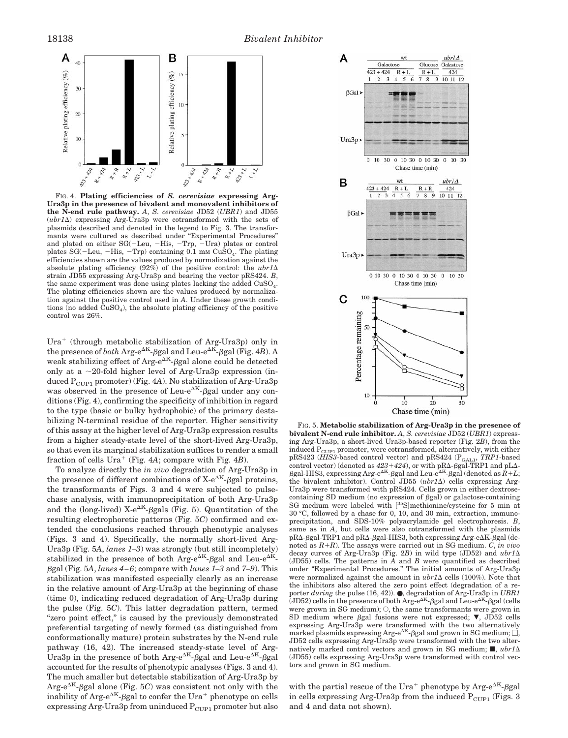

FIG. 4. **Plating efficiencies of** *S. cerevisiae* **expressing Arg-Ura3p in the presence of bivalent and monovalent inhibitors of the N-end rule pathway.** *A*, *S. cerevisiae* JD52 (*UBR1*) and JD55  $(ubr1\Delta)$  expressing Arg-Ura3p were cotransformed with the sets of plasmids described and denoted in the legend to Fig. 3. The transformants were cultured as described under "Experimental Procedures" and plated on either  $SG(-Leu, -His, -Trp, -Ura)$  plates or control plates  $SG(-Leu, -His, -Trp)$  containing 0.1 mm  $CuSO<sub>4</sub>$ . The plating efficiencies shown are the values produced by normalization against the absolute plating efficiency  $(92\%)$  of the positive control: the  $ubr1\Delta$ strain JD55 expressing Arg-Ura3p and bearing the vector pRS424. *B*, the same experiment was done using plates lacking the added CuSO<sub>4</sub>. The plating efficiencies shown are the values produced by normalization against the positive control used in *A*. Under these growth conditions (no added  $CuSO<sub>4</sub>$ ), the absolute plating efficiency of the positive control was 26%.

Ura<sup>+</sup> (through metabolic stabilization of Arg-Ura3p) only in the presence of *both* Arg-e<sup> $\Delta K$ </sup>- $\beta$ gal and Leu-e $\Delta K$ - $\beta$ gal (Fig. 4*B*). A weak stabilizing effect of  $Arg-e^{AK}$ - $\beta gal$  alone could be detected only at a  $\sim$ 20-fold higher level of Arg-Ura3p expression (induced P<sub>CUP1</sub> promoter) (Fig. 4A). No stabilization of Arg-Ura3p was observed in the presence of Leu-e<sup> $\Delta K$ </sup>- $\beta$ gal under any conditions (Fig. 4), confirming the specificity of inhibition in regard to the type (basic or bulky hydrophobic) of the primary destabilizing N-terminal residue of the reporter. Higher sensitivity of this assay at the higher level of Arg-Ura3p expression results from a higher steady-state level of the short-lived Arg-Ura3p, so that even its marginal stabilization suffices to render a small fraction of cells  $Ura^+$  (Fig. 4A; compare with Fig. 4*B*).

To analyze directly the *in vivo* degradation of Arg-Ura3p in the presence of different combinations of  $X-e^{AK}-\beta gal$  proteins, the transformants of Figs. 3 and 4 were subjected to pulsechase analysis, with immunoprecipitation of both Arg-Ura3p and the (long-lived)  $X-e^{AK}-\beta$ gals (Fig. 5). Quantitation of the resulting electrophoretic patterns (Fig. 5*C*) confirmed and extended the conclusions reached through phenotypic analyses (Figs. 3 and 4). Specifically, the normally short-lived Arg-Ura3p (Fig. 5*A*, *lanes 1–3*) was strongly (but still incompletely) stabilized in the presence of both Arg- $e^{AK}$ - $\beta$ gal and Leu- $e^{AK}$ bgal (Fig. 5*A*, *lanes 4–6*; compare with *lanes 1–3* and *7–9*). This stabilization was manifested especially clearly as an increase in the relative amount of Arg-Ura3p at the beginning of chase (time 0), indicating reduced degradation of Arg-Ura3p during the pulse (Fig. 5*C*). This latter degradation pattern, termed "zero point effect," is caused by the previously demonstrated preferential targeting of newly formed (as distinguished from conformationally mature) protein substrates by the N-end rule pathway (16, 42). The increased steady-state level of Arg-Ura3p in the presence of both Arg- $e^{\Delta K}$ -ggal and Leu- $e^{\Delta K}$ -ggal accounted for the results of phenotypic analyses (Figs. 3 and 4). The much smaller but detectable stabilization of Arg-Ura3p by  $\text{Arg-e}^{\Delta K}$ - $\beta$ gal alone (Fig. 5*C*) was consistent not only with the inability of Arg-e<sup> $\Delta K$ </sup>-*Bgal* to confer the Ura<sup>+</sup> phenotype on cells expressing Arg-Ura3p from uninduced  $P_{\text{CUP1}}$  promoter but also



FIG. 5. **Metabolic stabilization of Arg-Ura3p in the presence of bivalent N-end rule inhibitor.** *A*, *S. cerevisiae* JD52 (*UBR1*) expressing Arg-Ura3p, a short-lived Ura3p-based reporter (Fig. 2*B*), from the induced  $P_{\mathrm{CUP1}}$  promoter, were cotransformed, alternatively, with either pRS423 (*HIS3*-based control vector) and pRS424 (P<sub>GAL1</sub>, *TRP1*-based control vector) (denoted as  $423+424$ ), or with pR $\Delta$ - $\beta$ gal-TRP1 and pL $\Delta$ - $\beta$ gal-HIS3, expressing Arg-e<sup> $\Delta K$ </sup>- $\beta$ gal and Leu-e<sup> $\Delta K$ </sup>- $\beta$ gal (denoted as  $\vec{R}$ +*L*; the bivalent inhibitor). Control JD55  $(ubr1\Delta)$  cells expressing Arg-Ura3p were transformed with pRS424. Cells grown in either dextrosecontaining SD medium (no expression of  $\beta$ gal) or galactose-containing SG medium were labeled with [35S]methionine/cysteine for 5 min at 30 °C, followed by a chase for 0, 10, and 30 min, extraction, immunoprecipitation, and SDS-10% polyacrylamide gel electrophoresis. *B*, same as in *A*, but cells were also cotransformed with the plasmids  $pR\Delta-\beta$ gal-TRP1 and  $pR\Delta-\beta$ gal-HIS3, both expressing Arg-e $\Delta K-\beta$ gal (denoted as *R*1*R*). The assays were carried out in SG medium. *C*, *in vivo* decay curves of Arg-Ura3p (Fig. 2*B*) in wild type (JD52) and *ubr1*D (JD55) cells. The patterns in *A* and *B* were quantified as described under "Experimental Procedures." The initial amounts of Arg-Ura3p were normalized against the amount in  $ubr1\Delta$  cells (100%). Note that the inhibitors also altered the zero point effect (degradation of a reporter *during* the pulse (16, 42)). ●, degradation of Arg-Ura3p in *UBR1* (JD52) cells in the presence of both Arg- $e^{\Delta K}$ - $\beta$ gal and Leu- $e^{\Delta K}$ - $\beta$ gal (cells were grown in SG medium);  $\circ$ , the same transformants were grown in SD medium where  $\beta$ gal fusions were not expressed;  $\nabla$ , JD52 cells expressing Arg-Ura3p were transformed with the two alternatively marked plasmids expressing Arg-e<sup> $A$ K</sup>- $\beta$ gal and grown in SG medium;  $\Box$ , JD52 cells expressing Arg-Ura3p were transformed with the two alternatively marked control vectors and grown in SG medium;  $\blacksquare$ ,  $ubr1\Delta$ (JD55) cells expressing Arg-Ura3p were transformed with control vectors and grown in SG medium.

with the partial rescue of the Ura<sup>+</sup> phenotype by Arg-e<sup> $\Delta K$ </sup>- $\beta$ gal in cells expressing Arg-Ura3p from the induced  $P_{CIIP1}$  (Figs. 3) and 4 and data not shown).